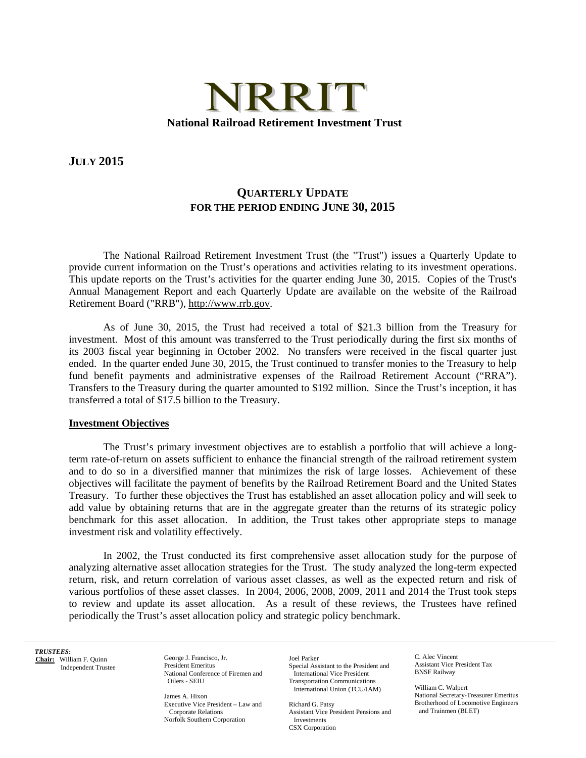

**JULY 2015** 

## **QUARTERLY UPDATE FOR THE PERIOD ENDING JUNE 30, 2015**

The National Railroad Retirement Investment Trust (the "Trust") issues a Quarterly Update to provide current information on the Trust's operations and activities relating to its investment operations. This update reports on the Trust's activities for the quarter ending June 30, 2015. Copies of the Trust's Annual Management Report and each Quarterly Update are available on the website of the Railroad Retirement Board ("RRB"), http://www.rrb.gov.

As of June 30, 2015, the Trust had received a total of \$21.3 billion from the Treasury for investment. Most of this amount was transferred to the Trust periodically during the first six months of its 2003 fiscal year beginning in October 2002. No transfers were received in the fiscal quarter just ended. In the quarter ended June 30, 2015, the Trust continued to transfer monies to the Treasury to help fund benefit payments and administrative expenses of the Railroad Retirement Account ("RRA"). Transfers to the Treasury during the quarter amounted to \$192 million. Since the Trust's inception, it has transferred a total of \$17.5 billion to the Treasury.

## **Investment Objectives**

The Trust's primary investment objectives are to establish a portfolio that will achieve a longterm rate-of-return on assets sufficient to enhance the financial strength of the railroad retirement system and to do so in a diversified manner that minimizes the risk of large losses. Achievement of these objectives will facilitate the payment of benefits by the Railroad Retirement Board and the United States Treasury. To further these objectives the Trust has established an asset allocation policy and will seek to add value by obtaining returns that are in the aggregate greater than the returns of its strategic policy benchmark for this asset allocation. In addition, the Trust takes other appropriate steps to manage investment risk and volatility effectively.

In 2002, the Trust conducted its first comprehensive asset allocation study for the purpose of analyzing alternative asset allocation strategies for the Trust. The study analyzed the long-term expected return, risk, and return correlation of various asset classes, as well as the expected return and risk of various portfolios of these asset classes. In 2004, 2006, 2008, 2009, 2011 and 2014 the Trust took steps to review and update its asset allocation. As a result of these reviews, the Trustees have refined periodically the Trust's asset allocation policy and strategic policy benchmark.

*TRUSTEES***: Chair:** William F. Quinn Independent Trustee

 $\overline{a}$ 

George J. Francisco, Jr. President Emeritus National Conference of Firemen and Oilers - SEIU

James A. Hixon Executive Vice President – Law and Corporate Relations Norfolk Southern Corporation

 Transportation Communications Joel Parker Special Assistant to the President and International Vice President International Union (TCU/IAM) William C. Walpert

Richard G. Patsy Assistant Vice President Pensions and CSX Corporation

C. Alec Vincent Assistant Vice President Tax BNSF Railway

National Secretary-Treasurer Emeritus Brotherhood of Locomotive Engineers and Trainmen (BLET)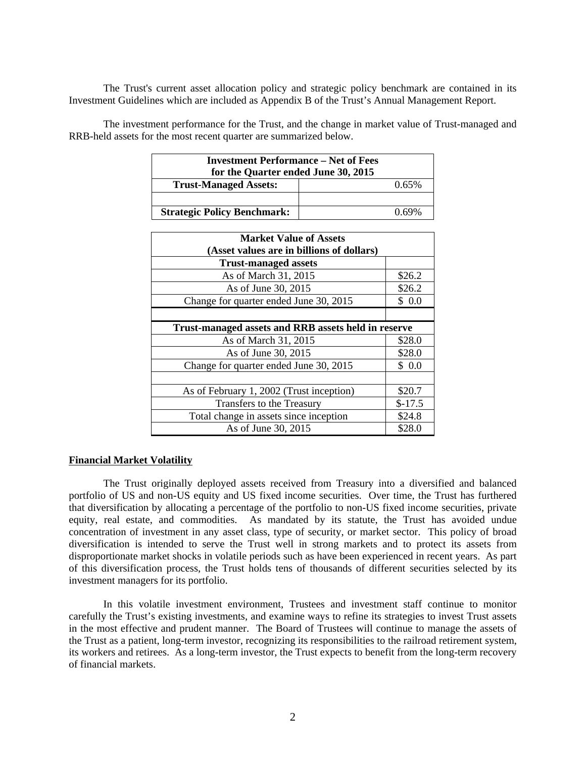The Trust's current asset allocation policy and strategic policy benchmark are contained in its Investment Guidelines which are included as Appendix B of the Trust's Annual Management Report.

The investment performance for the Trust, and the change in market value of Trust-managed and RRB-held assets for the most recent quarter are summarized below.

| <b>Investment Performance – Net of Fees</b><br>for the Quarter ended June 30, 2015 |            |  |
|------------------------------------------------------------------------------------|------------|--|
| <b>Trust-Managed Assets:</b>                                                       | 0.65%      |  |
|                                                                                    |            |  |
| <b>Strategic Policy Benchmark:</b>                                                 | $(1.69\%)$ |  |

| <b>Market Value of Assets</b>                              |          |  |
|------------------------------------------------------------|----------|--|
| (Asset values are in billions of dollars)                  |          |  |
| <b>Trust-managed assets</b>                                |          |  |
| As of March 31, 2015                                       | \$26.2   |  |
| As of June 30, 2015                                        | \$26.2   |  |
| Change for quarter ended June 30, 2015                     | \$ 0.0   |  |
|                                                            |          |  |
| <b>Trust-managed assets and RRB assets held in reserve</b> |          |  |
| As of March 31, 2015                                       | \$28.0   |  |
| As of June 30, 2015                                        | \$28.0   |  |
| Change for quarter ended June 30, 2015                     | \$ 0.0   |  |
|                                                            |          |  |
| As of February 1, 2002 (Trust inception)                   | \$20.7   |  |
| Transfers to the Treasury                                  | $$-17.5$ |  |
| Total change in assets since inception                     | \$24.8   |  |
| As of June 30, 2015                                        | \$28.0   |  |

## **Financial Market Volatility**

The Trust originally deployed assets received from Treasury into a diversified and balanced portfolio of US and non-US equity and US fixed income securities. Over time, the Trust has furthered that diversification by allocating a percentage of the portfolio to non-US fixed income securities, private equity, real estate, and commodities. As mandated by its statute, the Trust has avoided undue concentration of investment in any asset class, type of security, or market sector. This policy of broad diversification is intended to serve the Trust well in strong markets and to protect its assets from disproportionate market shocks in volatile periods such as have been experienced in recent years. As part of this diversification process, the Trust holds tens of thousands of different securities selected by its investment managers for its portfolio.

In this volatile investment environment, Trustees and investment staff continue to monitor carefully the Trust's existing investments, and examine ways to refine its strategies to invest Trust assets in the most effective and prudent manner. The Board of Trustees will continue to manage the assets of the Trust as a patient, long-term investor, recognizing its responsibilities to the railroad retirement system, its workers and retirees. As a long-term investor, the Trust expects to benefit from the long-term recovery of financial markets.